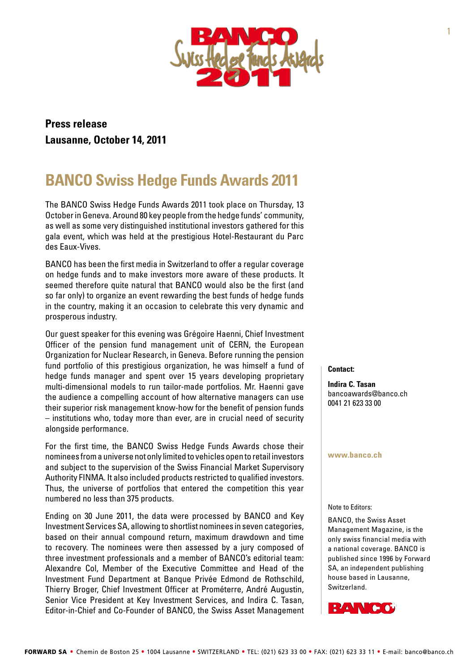

# **Press release Lausanne, October 14, 2011**

# **BANCO Swiss Hedge Funds Awards 2011**

The BANCO Swiss Hedge Funds Awards 2011 took place on Thursday, 13 October in Geneva. Around 80 key people from the hedge funds' community, as well as some very distinguished institutional investors gathered for this gala event, which was held at the prestigious Hotel-Restaurant du Parc des Eaux-Vives.

BANCO has been the first media in Switzerland to offer a regular coverage on hedge funds and to make investors more aware of these products. It seemed therefore quite natural that BANCO would also be the first (and so far only) to organize an event rewarding the best funds of hedge funds in the country, making it an occasion to celebrate this very dynamic and prosperous industry.

Our guest speaker for this evening was Grégoire Haenni, Chief Investment Officer of the pension fund management unit of CERN, the European Organization for Nuclear Research, in Geneva. Before running the pension fund portfolio of this prestigious organization, he was himself a fund of hedge funds manager and spent over 15 years developing proprietary multi-dimensional models to run tailor-made portfolios. Mr. Haenni gave the audience a compelling account of how alternative managers can use their superior risk management know-how for the benefit of pension funds – institutions who, today more than ever, are in crucial need of security alongside performance.

For the first time, the BANCO Swiss Hedge Funds Awards chose their nominees from a universe not only limited to vehicles open to retail investors and subject to the supervision of the Swiss Financial Market Supervisory Authority FINMA. It also included products restricted to qualified investors. Thus, the universe of portfolios that entered the competition this year numbered no less than 375 products.

Ending on 30 June 2011, the data were processed by BANCO and Key Investment Services SA, allowing to shortlist nominees in seven categories, based on their annual compound return, maximum drawdown and time to recovery. The nominees were then assessed by a jury composed of three investment professionals and a member of BANCO's editorial team: Alexandre Col, Member of the Executive Committee and Head of the Investment Fund Department at Banque Privée Edmond de Rothschild, Thierry Broger, Chief Investment Officer at Prométerre, André Augustin, Senior Vice President at Key Investment Services, and Indira C. Tasan, Editor-in-Chief and Co-Founder of BANCO, the Swiss Asset Management

#### **Contact:**

**Indira C. Tasan**  [bancoawards@banco.ch](mailto:bancoawards@banco.ch) 0041 21 623 33 00

#### **[www.banco.ch](http://www.banco.ch/)**

#### Note to Editors:

BANCO, the Swiss Asset Management Magazine, is the only swiss financial media with a national coverage. BANCO is published since 1996 by Forward SA, an independent publishing house based in Lausanne, Switzerland.

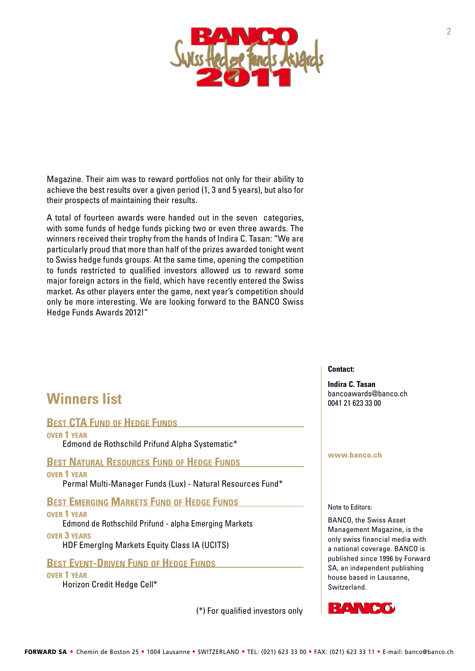

Magazine. Their aim was to reward portfolios not only for their ability to achieve the best results over a given period (1, 3 and 5 years), but also for their prospects of maintaining their results.

A total of fourteen awards were handed out in the seven categories, with some funds of hedge funds picking two or even three awards. The winners received their trophy from the hands of Indira C. Tasan: "We are particularly proud that more than half of the prizes awarded tonight went to Swiss hedge funds groups. At the same time, opening the competition to funds restricted to qualified investors allowed us to reward some major foreign actors in the field, which have recently entered the Swiss market. As other players enter the game, next year's competition should only be more interesting. We are looking forward to the BANCO Swiss Hedge Funds Awards 2012!"

# **Winners list**

### **BEST CTA FUND OF HEDGE FUNDS**

**over 1 year** Edmond de Rothschild Prifund Alpha Systematic\*

**Best Natural Resources Fund of Hedge Funds over 1 year**

Permal Multi-Manager Funds (Lux) - Natural Resources Fund\*

**Best Emerging Markets Fund of Hedge Funds over 1 year**

Edmond de Rothschild Prifund - alpha Emerging Markets **over 3 years**

HDF EmergIng Markets Equity Class IA (UCITS)

## **Best Event-Driven Fund of Hedge Funds**

**over 1 year**

Horizon Credit Hedge Cell\*

(\*) For qualified investors only

#### **Contact:**

**Indira C. Tasan**  [bancoawards@banco.ch](mailto:bancoawards@banco.ch) 0041 21 623 33 00

#### **[www.banco.ch](http://www.banco.ch/)**

Note to Editors:

BANCO, the Swiss Asset Management Magazine, is the only swiss financial media with a national coverage. BANCO is published since 1996 by Forward SA, an independent publishing house based in Lausanne, Switzerland.